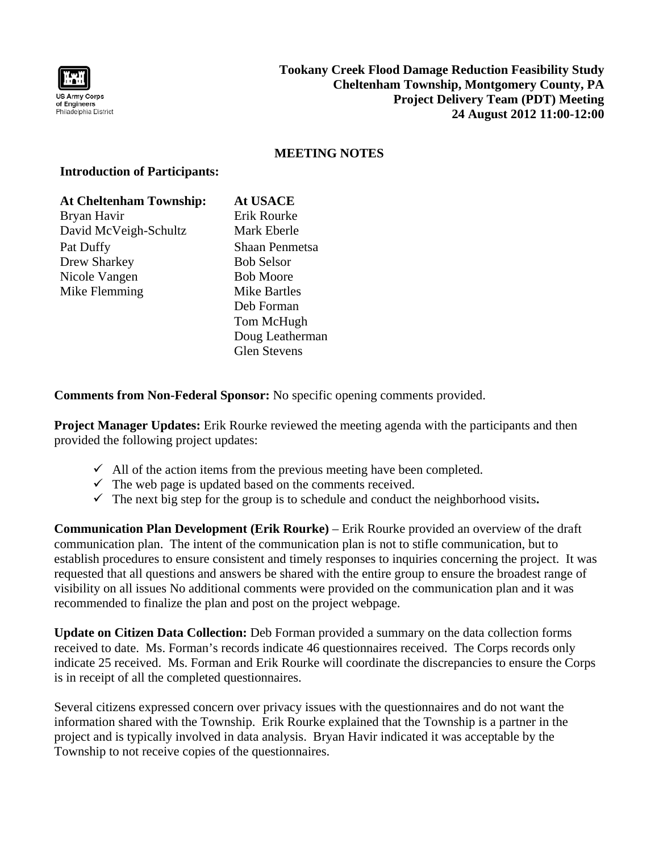

## **MEETING NOTES**

## **Introduction of Participants:**

| <b>At Cheltenham Township:</b> | <b>At USACE</b>     |
|--------------------------------|---------------------|
| Bryan Havir                    | Erik Rourke         |
| David McVeigh-Schultz          | Mark Eberle         |
| Pat Duffy                      | Shaan Penmetsa      |
| Drew Sharkey                   | <b>Bob Selsor</b>   |
| Nicole Vangen                  | <b>Bob Moore</b>    |
| Mike Flemming                  | <b>Mike Bartles</b> |
|                                | Deb Forman          |
|                                | Tom McHugh          |
|                                | Doug Leatherman     |
|                                | <b>Glen Stevens</b> |

**Comments from Non-Federal Sponsor:** No specific opening comments provided.

**Project Manager Updates:** Erik Rourke reviewed the meeting agenda with the participants and then provided the following project updates:

- $\checkmark$  All of the action items from the previous meeting have been completed.
- $\checkmark$  The web page is updated based on the comments received.
- $\checkmark$  The next big step for the group is to schedule and conduct the neighborhood visits.

**Communication Plan Development (Erik Rourke)** – Erik Rourke provided an overview of the draft communication plan. The intent of the communication plan is not to stifle communication, but to establish procedures to ensure consistent and timely responses to inquiries concerning the project. It was requested that all questions and answers be shared with the entire group to ensure the broadest range of visibility on all issues No additional comments were provided on the communication plan and it was recommended to finalize the plan and post on the project webpage.

**Update on Citizen Data Collection:** Deb Forman provided a summary on the data collection forms received to date. Ms. Forman's records indicate 46 questionnaires received. The Corps records only indicate 25 received. Ms. Forman and Erik Rourke will coordinate the discrepancies to ensure the Corps is in receipt of all the completed questionnaires.

Several citizens expressed concern over privacy issues with the questionnaires and do not want the information shared with the Township. Erik Rourke explained that the Township is a partner in the project and is typically involved in data analysis. Bryan Havir indicated it was acceptable by the Township to not receive copies of the questionnaires.